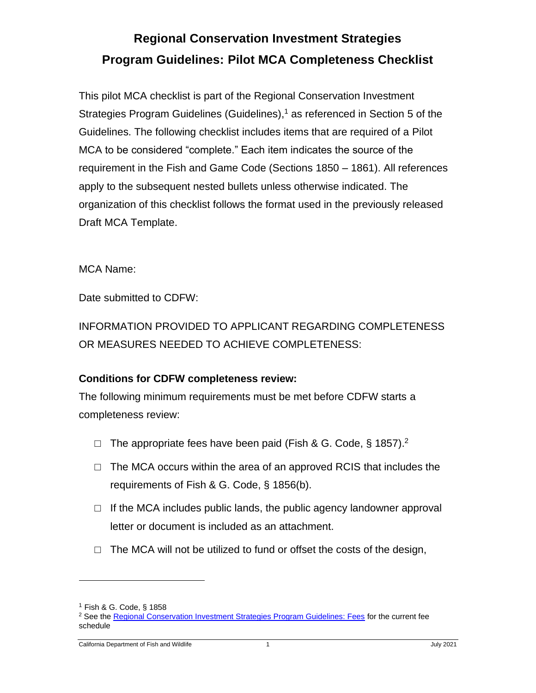## **Regional Conservation Investment Strategies Program Guidelines: Pilot MCA Completeness Checklist**

This pilot MCA checklist is part of the Regional Conservation Investment Strategies Program Guidelines (Guidelines), <sup>1</sup> as referenced in Section 5 of the Guidelines. The following checklist includes items that are required of a Pilot MCA to be considered "complete." Each item indicates the source of the requirement in the Fish and Game Code (Sections 1850 – 1861). All references apply to the subsequent nested bullets unless otherwise indicated. The organization of this checklist follows the format used in the previously released Draft MCA Template.

MCA Name:

Date submitted to CDFW:

INFORMATION PROVIDED TO APPLICANT REGARDING COMPLETENESS OR MEASURES NEEDED TO ACHIEVE COMPLETENESS:

## **Conditions for CDFW completeness review:**

The following minimum requirements must be met before CDFW starts a completeness review:

- $\Box$  The appropriate fees have been paid (Fish & G. Code, § 1857).<sup>2</sup>
- $\Box$  The MCA occurs within the area of an approved RCIS that includes the requirements of Fish & G. Code, § 1856(b).
- $\Box$  If the MCA includes public lands, the public agency landowner approval letter or document is included as an attachment.
- $\Box$  The MCA will not be utilized to fund or offset the costs of the design,

<sup>1</sup> Fish & G. Code, § 1858

<sup>&</sup>lt;sup>2</sup> See the [Regional Conservation Investment Strategies Program Guidelines: Fees](https://nrm.dfg.ca.gov/FileHandler.ashx?DocumentID=145282&inline) for the current fee schedule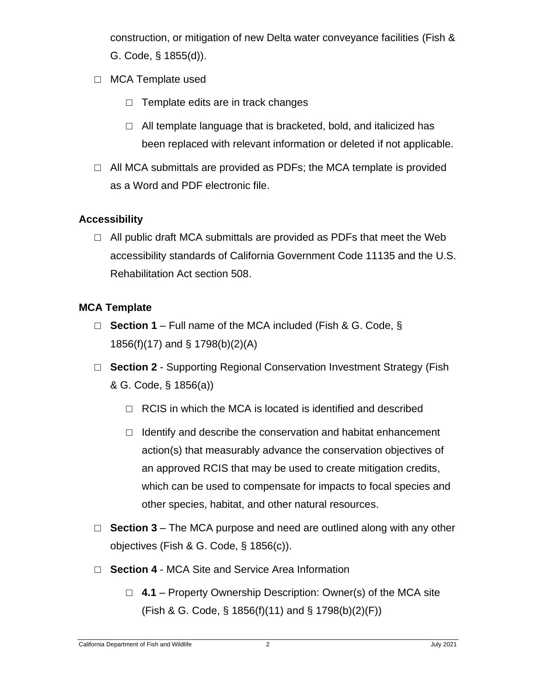construction, or mitigation of new Delta water conveyance facilities (Fish & G. Code, § 1855(d)).

- □ MCA Template used
	- $\Box$  Template edits are in track changes
	- $\Box$  All template language that is bracketed, bold, and italicized has been replaced with relevant information or deleted if not applicable.
- $\Box$  All MCA submittals are provided as PDFs; the MCA template is provided as a Word and PDF electronic file.

## **Accessibility**

 $\Box$  All public draft MCA submittals are provided as PDFs that meet the Web accessibility standards of California Government Code 11135 and the U.S. Rehabilitation Act section 508.

## **MCA Template**

- □ **Section 1** Full name of the MCA included (Fish & G. Code, § 1856(f)(17) and § 1798(b)(2)(A)
- □ **Section 2** Supporting Regional Conservation Investment Strategy (Fish & G. Code, § 1856(a))
	- $\Box$  RCIS in which the MCA is located is identified and described
	- $\Box$  Identify and describe the conservation and habitat enhancement action(s) that measurably advance the conservation objectives of an approved RCIS that may be used to create mitigation credits, which can be used to compensate for impacts to focal species and other species, habitat, and other natural resources.
- □ **Section 3** The MCA purpose and need are outlined along with any other objectives (Fish & G. Code, § 1856(c)).
- □ **Section 4** MCA Site and Service Area Information
	- □ 4.1 Property Ownership Description: Owner(s) of the MCA site (Fish & G. Code, § 1856(f)(11) and § 1798(b)(2)(F))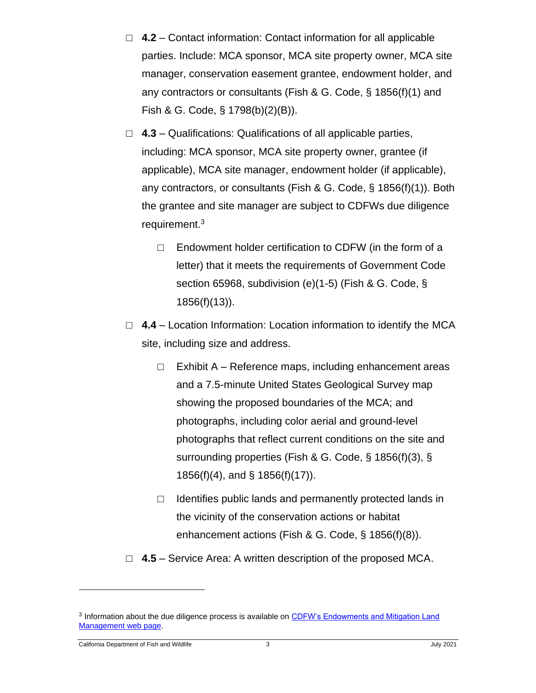- □ **4.2** Contact information: Contact information for all applicable parties. Include: MCA sponsor, MCA site property owner, MCA site manager, conservation easement grantee, endowment holder, and any contractors or consultants (Fish & G. Code, § 1856(f)(1) and Fish & G. Code, § 1798(b)(2)(B)).
- □ **4.3** Qualifications: Qualifications of all applicable parties, including: MCA sponsor, MCA site property owner, grantee (if applicable), MCA site manager, endowment holder (if applicable), any contractors, or consultants (Fish & G. Code, § 1856(f)(1)). Both the grantee and site manager are subject to CDFWs due diligence requirement. 3
	- $\Box$  Endowment holder certification to CDFW (in the form of a letter) that it meets the requirements of Government Code section 65968, subdivision (e)(1-5) (Fish & G. Code, § 1856(f)(13)).
- □ 4.4 Location Information: Location information to identify the MCA site, including size and address.
	- □ Exhibit A Reference maps, including enhancement areas and a 7.5-minute United States Geological Survey map showing the proposed boundaries of the MCA; and photographs, including color aerial and ground-level photographs that reflect current conditions on the site and surrounding properties (Fish & G. Code, § 1856(f)(3), § 1856(f)(4), and § 1856(f)(17)).
	- $\Box$  Identifies public lands and permanently protected lands in the vicinity of the conservation actions or habitat enhancement actions (Fish & G. Code, § 1856(f)(8)).
- □ 4.5 Service Area: A written description of the proposed MCA.

<sup>&</sup>lt;sup>3</sup> Information about the due diligence process is available on CDFW's Endowments and Mitigation Land [Management](https://wildlife.ca.gov/Conservation/Planning/Endowments-Mit-Land-Mgmt) web page.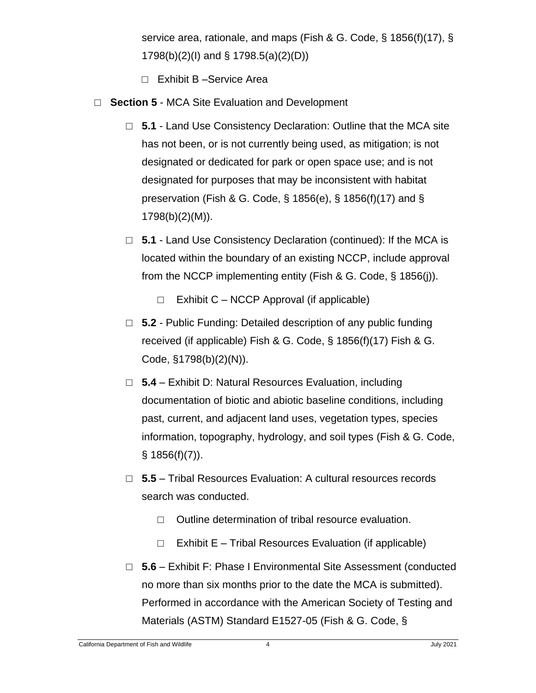service area, rationale, and maps (Fish & G. Code, § 1856(f)(17), § 1798(b)(2)(I) and § 1798.5(a)(2)(D))

- □ Exhibit B Service Area
- □ **Section 5** MCA Site Evaluation and Development
	- □ **5.1** Land Use Consistency Declaration: Outline that the MCA site has not been, or is not currently being used, as mitigation; is not designated or dedicated for park or open space use; and is not designated for purposes that may be inconsistent with habitat preservation (Fish & G. Code, § 1856(e), § 1856(f)(17) and § 1798(b)(2)(M)).
	- □ **5.1** Land Use Consistency Declaration (continued): If the MCA is located within the boundary of an existing NCCP, include approval from the NCCP implementing entity (Fish & G. Code, § 1856(j)).
		- $\Box$  Exhibit C NCCP Approval (if applicable)
	- □ **5.2** Public Funding: Detailed description of any public funding received (if applicable) Fish & G. Code, § 1856(f)(17) Fish & G. Code, §1798(b)(2)(N)).
	- □ **5.4** Exhibit D: Natural Resources Evaluation, including documentation of biotic and abiotic baseline conditions, including past, current, and adjacent land uses, vegetation types, species information, topography, hydrology, and soil types (Fish & G. Code,  $§ 1856(f)(7)$ ).
	- □ **5.5** Tribal Resources Evaluation: A cultural resources records search was conducted.
		- □ Outline determination of tribal resource evaluation.
		- $\Box$  Exhibit E Tribal Resources Evaluation (if applicable)
	- □ **5.6** Exhibit F: Phase I Environmental Site Assessment (conducted no more than six months prior to the date the MCA is submitted). Performed in accordance with the American Society of Testing and Materials (ASTM) Standard E1527-05 (Fish & G. Code, §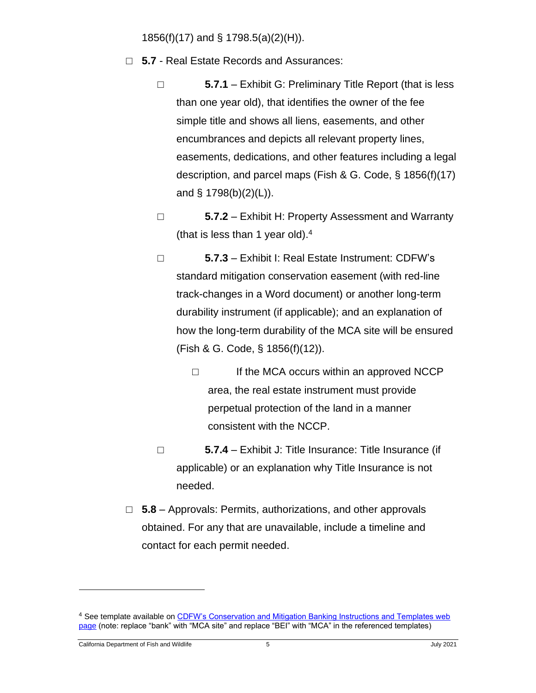1856(f)(17) and § 1798.5(a)(2)(H)).

- □ **5.7** Real Estate Records and Assurances:
	- □ **5.7.1** Exhibit G: Preliminary Title Report (that is less than one year old), that identifies the owner of the fee simple title and shows all liens, easements, and other encumbrances and depicts all relevant property lines, easements, dedications, and other features including a legal description, and parcel maps (Fish & G. Code, § 1856(f)(17) and § 1798(b)(2)(L)).
	- □ **5.7.2** Exhibit H: Property Assessment and Warranty (that is less than 1 year old). 4
	- □ **5.7.3** Exhibit I: Real Estate Instrument: CDFW's standard mitigation conservation easement (with red-line track-changes in a Word document) or another long-term durability instrument (if applicable); and an explanation of how the long-term durability of the MCA site will be ensured (Fish & G. Code, § 1856(f)(12)).
		- □ If the MCA occurs within an approved NCCP area, the real estate instrument must provide perpetual protection of the land in a manner consistent with the NCCP.
	- □ **5.7.4** Exhibit J: Title Insurance: Title Insurance (if applicable) or an explanation why Title Insurance is not needed.
- □ **5.8** Approvals: Permits, authorizations, and other approvals obtained. For any that are unavailable, include a timeline and contact for each permit needed.

<sup>4</sup> See template available on CDFW's Conservation and Mitigation Banking Instructions and Templates web [page](https://wildlife.ca.gov/Conservation/Planning/Banking/Templates) (note: replace "bank" with "MCA site" and replace "BEI" with "MCA" in the referenced templates)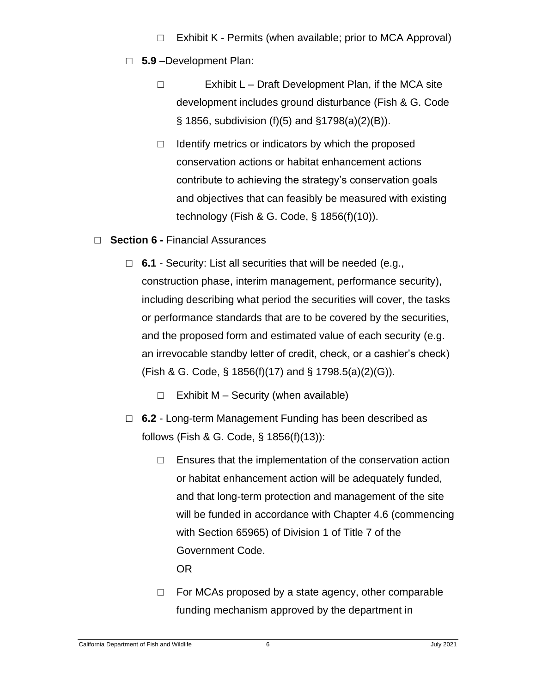- $\Box$  Exhibit K Permits (when available; prior to MCA Approval)
- □ **5.9** –Development Plan:
	- □ Exhibit L Draft Development Plan, if the MCA site development includes ground disturbance (Fish & G. Code § 1856, subdivision (f)(5) and §1798(a)(2)(B)).
	- $\Box$  Identify metrics or indicators by which the proposed conservation actions or habitat enhancement actions contribute to achieving the strategy's conservation goals and objectives that can feasibly be measured with existing technology (Fish & G. Code, § 1856(f)(10)).
- □ **Section 6 -** Financial Assurances
	- □ **6.1** Security: List all securities that will be needed (e.g., construction phase, interim management, performance security), including describing what period the securities will cover, the tasks or performance standards that are to be covered by the securities, and the proposed form and estimated value of each security (e.g. an irrevocable standby letter of credit, check, or a cashier's check) (Fish & G. Code, § 1856(f)(17) and § 1798.5(a)(2)(G)).
		- $\Box$  Exhibit M Security (when available)
	- □ **6.2** Long-term Management Funding has been described as follows (Fish & G. Code, § 1856(f)(13)):
		- $\Box$  Ensures that the implementation of the conservation action or habitat enhancement action will be adequately funded, and that long-term protection and management of the site will be funded in accordance with Chapter 4.6 (commencing with Section 65965) of Division 1 of Title 7 of the Government Code.

OR

 $\Box$  For MCAs proposed by a state agency, other comparable funding mechanism approved by the department in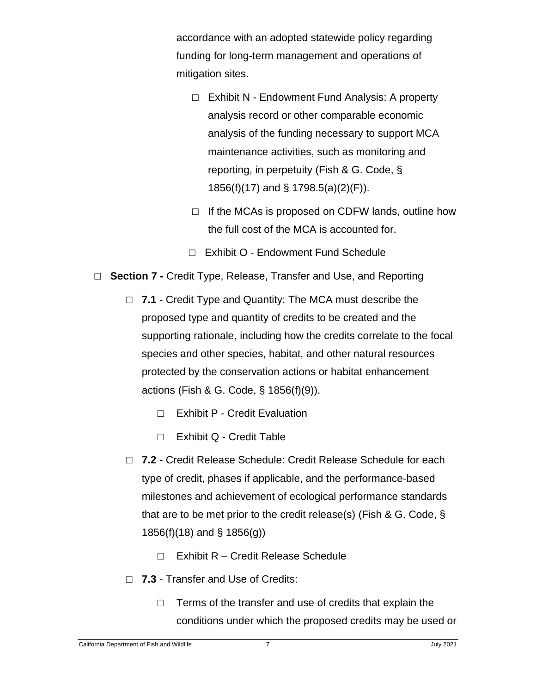accordance with an adopted statewide policy regarding funding for long-term management and operations of mitigation sites.

- □ Exhibit N Endowment Fund Analysis: A property analysis record or other comparable economic analysis of the funding necessary to support MCA maintenance activities, such as monitoring and reporting, in perpetuity (Fish & G. Code, § 1856(f)(17) and § 1798.5(a)(2)(F)).
- $\Box$  If the MCAs is proposed on CDFW lands, outline how the full cost of the MCA is accounted for.
- □ Exhibit O Endowment Fund Schedule
- □ **Section 7 -** Credit Type, Release, Transfer and Use, and Reporting
	- □ 7.1 Credit Type and Quantity: The MCA must describe the proposed type and quantity of credits to be created and the supporting rationale, including how the credits correlate to the focal species and other species, habitat, and other natural resources protected by the conservation actions or habitat enhancement actions (Fish & G. Code, § 1856(f)(9)).
		- □ Exhibit P Credit Evaluation
		- □ Exhibit Q Credit Table
	- □ 7.2 Credit Release Schedule: Credit Release Schedule for each type of credit, phases if applicable, and the performance-based milestones and achievement of ecological performance standards that are to be met prior to the credit release(s) (Fish & G. Code, § 1856(f)(18) and § 1856(g))
		- □ Exhibit R Credit Release Schedule
	- □ 7.3 Transfer and Use of Credits:
		- $\Box$  Terms of the transfer and use of credits that explain the conditions under which the proposed credits may be used or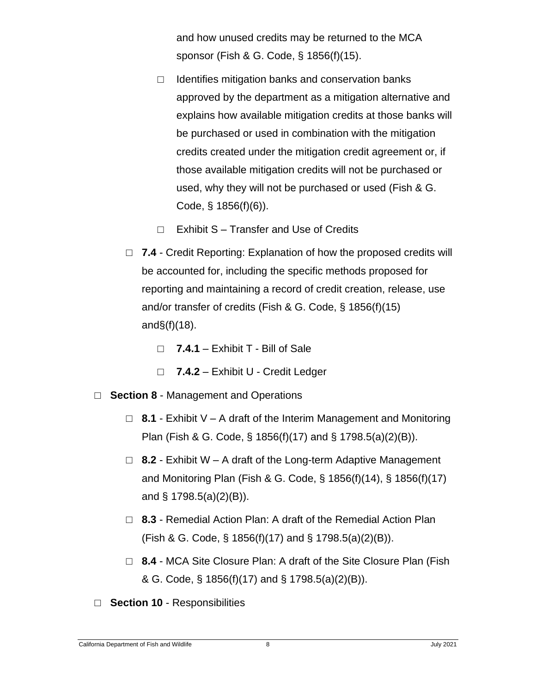and how unused credits may be returned to the MCA sponsor (Fish & G. Code, § 1856(f)(15).

- $\Box$  Identifies mitigation banks and conservation banks approved by the department as a mitigation alternative and explains how available mitigation credits at those banks will be purchased or used in combination with the mitigation credits created under the mitigation credit agreement or, if those available mitigation credits will not be purchased or used, why they will not be purchased or used (Fish & G. Code, § 1856(f)(6)).
- $\Box$  Exhibit S Transfer and Use of Credits
- □ 7.4 Credit Reporting: Explanation of how the proposed credits will be accounted for, including the specific methods proposed for reporting and maintaining a record of credit creation, release, use and/or transfer of credits (Fish & G. Code, § 1856(f)(15) and $\S(f)(18)$ .
	- □ **7.4.1** Exhibit T Bill of Sale
	- □ **7.4.2** Exhibit U Credit Ledger
- □ **Section 8** Management and Operations
	- □ **8.1** Exhibit V A draft of the Interim Management and Monitoring Plan (Fish & G. Code, § 1856(f)(17) and § 1798.5(a)(2)(B)).
	- □ **8.2** Exhibit W A draft of the Long-term Adaptive Management and Monitoring Plan (Fish & G. Code, § 1856(f)(14), § 1856(f)(17) and § 1798.5(a)(2)(B)).
	- □ 8.3 Remedial Action Plan: A draft of the Remedial Action Plan (Fish & G. Code, § 1856(f)(17) and § 1798.5(a)(2)(B)).
	- □ 8.4 MCA Site Closure Plan: A draft of the Site Closure Plan (Fish & G. Code, § 1856(f)(17) and § 1798.5(a)(2)(B)).
- □ **Section 10** Responsibilities